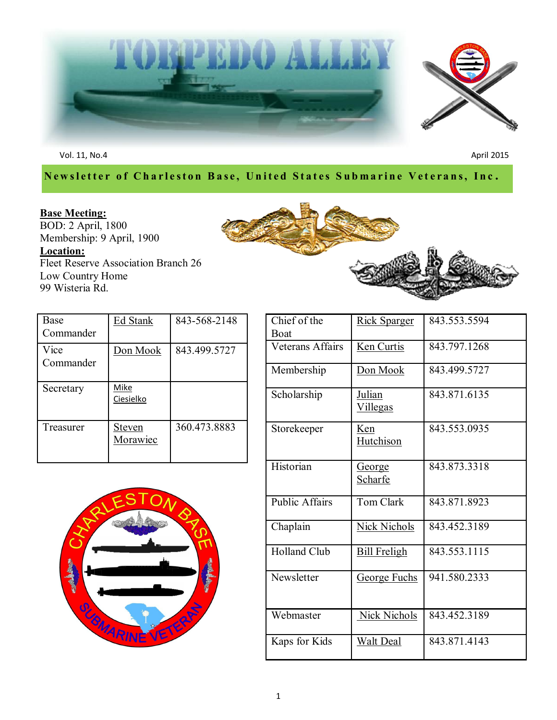

Vol. 11, No.4 April 2015

# **Newsletter of Charleston Base, United States Submarine Veterans, Inc.**

# **Base Meeting:**

BOD: 2 April, 1800 Membership: 9 April, 1900 **Location:** Fleet Reserve Association Branch 26 Low Country Home 99 Wisteria Rd.



| Base      | Ed Stank           | 843-568-2148 |
|-----------|--------------------|--------------|
| Commander |                    |              |
| Vice      | Don Mook           | 843.499.5727 |
| Commander |                    |              |
| Secretary | Mike<br>Ciesielko  |              |
| Treasurer | Steven<br>Morawiec | 360.473.8883 |



| Chief of the<br>Boat  | <b>Rick Sparger</b>              | 843.553.5594 |
|-----------------------|----------------------------------|--------------|
| Veterans Affairs      | <u>Ken Curtis</u>                | 843.797.1268 |
| Membership            | Don Mook                         | 843.499.5727 |
| Scholarship           | <u>Julian</u><br><b>Villegas</b> | 843.871.6135 |
| Storekeeper           | Ken<br><b>Hutchison</b>          | 843.553.0935 |
| Historian             | <u>George</u><br>Scharfe         | 843.873.3318 |
| <b>Public Affairs</b> | <b>Tom Clark</b>                 | 843.871.8923 |
| Chaplain              | Nick Nichols                     | 843.452.3189 |
| <b>Holland Club</b>   | <b>Bill Freligh</b>              | 843.553.1115 |
| Newsletter            | <u>George Fuchs</u>              | 941.580.2333 |
| Webmaster             | <b>Nick Nichols</b>              | 843.452.3189 |
| Kaps for Kids         | <u>Walt Deal</u>                 | 843.871.4143 |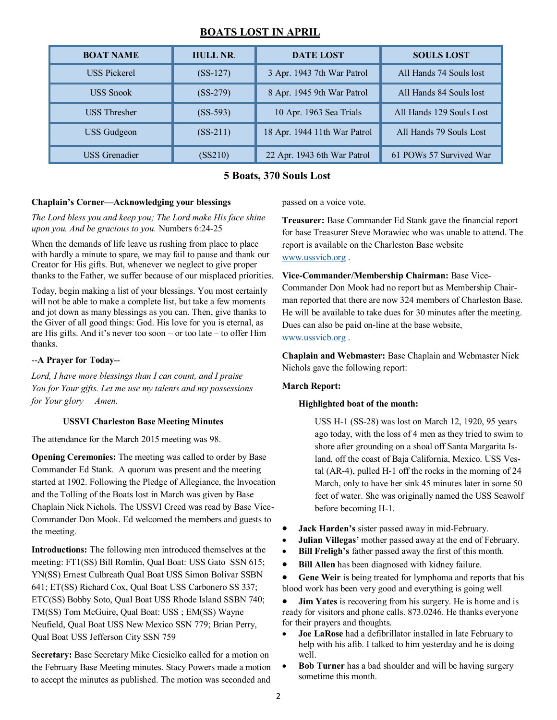# **BOATS LOST IN APRIL**

| <b>BOAT NAME</b>    | <b>HULL NR.</b> | <b>DATE LOST</b>             | <b>SOULS LOST</b>        |
|---------------------|-----------------|------------------------------|--------------------------|
| <b>USS Pickerel</b> | $(SS-127)$      | 3 Apr. 1943 7th War Patrol   | All Hands 74 Souls lost  |
| <b>USS</b> Snook    | $(SS-279)$      | 8 Apr. 1945 9th War Patrol   | All Hands 84 Souls lost  |
| <b>USS</b> Thresher | $(SS-593)$      | 10 Apr. 1963 Sea Trials      | All Hands 129 Souls Lost |
| <b>USS</b> Gudgeon  | $(SS-211)$      | 18 Apr. 1944 11th War Patrol | All Hands 79 Souls Lost  |
| USS Grenadier       | (SS210)         | 22 Apr. 1943 6th War Patrol  | 61 POWs 57 Survived War  |

## **5 Boats, 370 Souls Lost**

#### **Chaplain's Corner—Acknowledging your blessings**

*The Lord bless you and keep you; The Lord make His face shine upon you. And be gracious to you.* Numbers 6:24-25

When the demands of life leave us rushing from place to place with hardly a minute to spare, we may fail to pause and thank our Creator for His gifts. But, whenever we neglect to give proper thanks to the Father, we suffer because of our misplaced priorities.

Today, begin making a list of your blessings. You most certainly will not be able to make a complete list, but take a few moments and jot down as many blessings as you can. Then, give thanks to the Giver of all good things: God. His love for you is eternal, as are His gifts. And it's never too soon – or too late – to offer Him thanks.

#### --**A Prayer for Today**--

*Lord, I have more blessings than I can count, and I praise You for Your gifts. Let me use my talents and my possessions for Your glory Amen.*

#### **USSVI Charleston Base Meeting Minutes**

The attendance for the March 2015 meeting was 98.

**Opening Ceremonies:** The meeting was called to order by Base Commander Ed Stank. A quorum was present and the meeting started at 1902. Following the Pledge of Allegiance, the Invocation and the Tolling of the Boats lost in March was given by Base Chaplain Nick Nichols. The USSVI Creed was read by Base Vice-Commander Don Mook. Ed welcomed the members and guests to the meeting.

**Introductions:** The following men introduced themselves at the meeting: FT1(SS) Bill Romlin, Qual Boat: USS Gato SSN 615; YN(SS) Ernest Culbreath Qual Boat USS Simon Bolivar SSBN 641; ET(SS) Richard Cox, Qual Boat USS Carbonero SS 337; ETC(SS) Bobby Soto, Qual Boat USS Rhode Island SSBN 740; TM(SS) Tom McGuire, Qual Boat: USS ; EM(SS) Wayne Neufield, Qual Boat USS New Mexico SSN 779; Brian Perry, Qual Boat USS Jefferson City SSN 759

S**ecretary:** Base Secretary Mike Ciesielko called for a motion on the February Base Meeting minutes. Stacy Powers made a motion to accept the minutes as published. The motion was seconded and

passed on a voice vote.

**Treasurer:** Base Commander Ed Stank gave the financial report for base Treasurer Steve Morawiec who was unable to attend. The report is available on the Charleston Base website [www.ussvicb.org](http://www.ussvicb.org) .

**Vice-Commander/Membership Chairman:** Base Vice-Commander Don Mook had no report but as Membership Chairman reported that there are now 324 members of Charleston Base. He will be available to take dues for 30 minutes after the meeting. Dues can also be paid on-line at the base website, [www.ussvicb.org](http://www.ussvicb.org) .

**Chaplain and Webmaster:** Base Chaplain and Webmaster Nick Nichols gave the following report:

#### **March Report:**

#### **Highlighted boat of the month:**

USS H-1 (SS-28) was lost on March 12, 1920, 95 years ago today, with the loss of 4 men as they tried to swim to shore after grounding on a shoal off Santa Margarita Island, off the coast of Baja California, Mexico. USS Vestal (AR-4), pulled H-1 off the rocks in the morning of 24 March, only to have her sink 45 minutes later in some 50 feet of water. She was originally named the USS Seawolf before becoming H-1.

- **Jack Harden's** sister passed away in mid-February.
- **Julian Villegas'** mother passed away at the end of February.
- **Bill Freligh's** father passed away the first of this month.
- **Bill Allen** has been diagnosed with kidney failure.

**Gene Weir** is being treated for lymphoma and reports that his blood work has been very good and everything is going well

 **Jim Yates** is recovering from his surgery. He is home and is ready for visitors and phone calls. 873.0246. He thanks everyone for their prayers and thoughts.

- **Joe LaRose** had a defibrillator installed in late February to help with his afib. I talked to him yesterday and he is doing well.
- **Bob Turner** has a bad shoulder and will be having surgery sometime this month.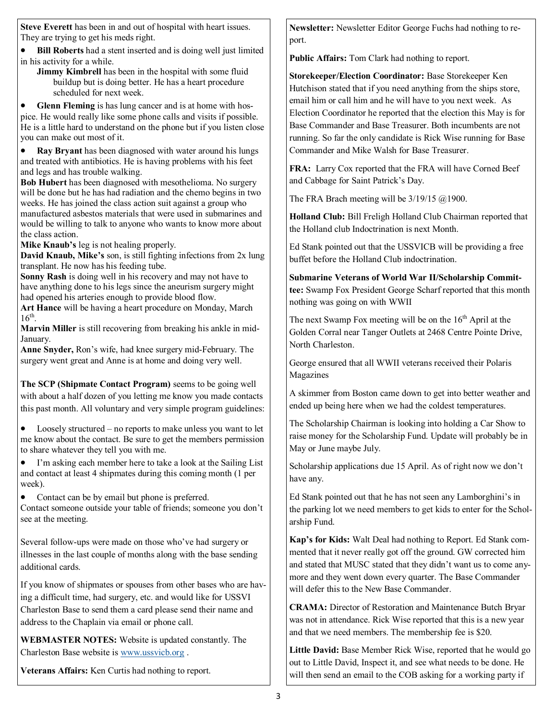**Steve Everett** has been in and out of hospital with heart issues. They are trying to get his meds right.

 **Bill Roberts** had a stent inserted and is doing well just limited in his activity for a while.

**Jimmy Kimbrell** has been in the hospital with some fluid buildup but is doing better. He has a heart procedure scheduled for next week.

 **Glenn Fleming** is has lung cancer and is at home with hospice. He would really like some phone calls and visits if possible. He is a little hard to understand on the phone but if you listen close you can make out most of it.

**• Ray Bryant** has been diagnosed with water around his lungs and treated with antibiotics. He is having problems with his feet and legs and has trouble walking.

**Bob Hubert** has been diagnosed with mesothelioma. No surgery will be done but he has had radiation and the chemo begins in two weeks. He has joined the class action suit against a group who manufactured asbestos materials that were used in submarines and would be willing to talk to anyone who wants to know more about the class action.

**Mike Knaub's** leg is not healing properly.

**David Knaub, Mike's** son, is still fighting infections from 2x lung transplant. He now has his feeding tube.

**Sonny Rash** is doing well in his recovery and may not have to have anything done to his legs since the aneurism surgery might had opened his arteries enough to provide blood flow.

**Art Hance** will be having a heart procedure on Monday, March  $16<sup>th</sup>$ .

**Marvin Miller** is still recovering from breaking his ankle in mid-January.

**Anne Snyder,** Ron's wife, had knee surgery mid-February. The surgery went great and Anne is at home and doing very well.

**The SCP (Shipmate Contact Program)** seems to be going well with about a half dozen of you letting me know you made contacts this past month. All voluntary and very simple program guidelines:

• Loosely structured – no reports to make unless you want to let me know about the contact. Be sure to get the members permission to share whatever they tell you with me.

 I'm asking each member here to take a look at the Sailing List and contact at least 4 shipmates during this coming month (1 per week).

• Contact can be by email but phone is preferred.

Contact someone outside your table of friends; someone you don't see at the meeting.

Several follow-ups were made on those who've had surgery or illnesses in the last couple of months along with the base sending additional cards.

If you know of shipmates or spouses from other bases who are having a difficult time, had surgery, etc. and would like for USSVI Charleston Base to send them a card please send their name and address to the Chaplain via email or phone call.

**WEBMASTER NOTES:** Website is updated constantly. The Charleston Base website is [www.ussvicb.org](http://www.ussvicb.org) .

**Veterans Affairs:** Ken Curtis had nothing to report.

**Newsletter:** Newsletter Editor George Fuchs had nothing to report.

**Public Affairs:** Tom Clark had nothing to report.

**Storekeeper/Election Coordinator:** Base Storekeeper Ken Hutchison stated that if you need anything from the ships store, email him or call him and he will have to you next week. As Election Coordinator he reported that the election this May is for Base Commander and Base Treasurer. Both incumbents are not running. So far the only candidate is Rick Wise running for Base Commander and Mike Walsh for Base Treasurer.

**FRA:** Larry Cox reported that the FRA will have Corned Beef and Cabbage for Saint Patrick's Day.

The FRA Brach meeting will be  $3/19/15$   $\omega$  1900.

**Holland Club:** Bill Freligh Holland Club Chairman reported that the Holland club Indoctrination is next Month.

Ed Stank pointed out that the USSVICB will be providing a free buffet before the Holland Club indoctrination.

**Submarine Veterans of World War II/Scholarship Committee:** Swamp Fox President George Scharf reported that this month nothing was going on with WWII

The next Swamp Fox meeting will be on the 16<sup>th</sup> April at the Golden Corral near Tanger Outlets at 2468 Centre Pointe Drive, North Charleston.

George ensured that all WWII veterans received their Polaris Magazines

A skimmer from Boston came down to get into better weather and ended up being here when we had the coldest temperatures.

The Scholarship Chairman is looking into holding a Car Show to raise money for the Scholarship Fund. Update will probably be in May or June maybe July.

Scholarship applications due 15 April. As of right now we don't have any.

Ed Stank pointed out that he has not seen any Lamborghini's in the parking lot we need members to get kids to enter for the Scholarship Fund.

**Kap's for Kids:** Walt Deal had nothing to Report. Ed Stank commented that it never really got off the ground. GW corrected him and stated that MUSC stated that they didn't want us to come anymore and they went down every quarter. The Base Commander will defer this to the New Base Commander.

**CRAMA:** Director of Restoration and Maintenance Butch Bryar was not in attendance. Rick Wise reported that this is a new year and that we need members. The membership fee is \$20.

Little David: Base Member Rick Wise, reported that he would go out to Little David, Inspect it, and see what needs to be done. He will then send an email to the COB asking for a working party if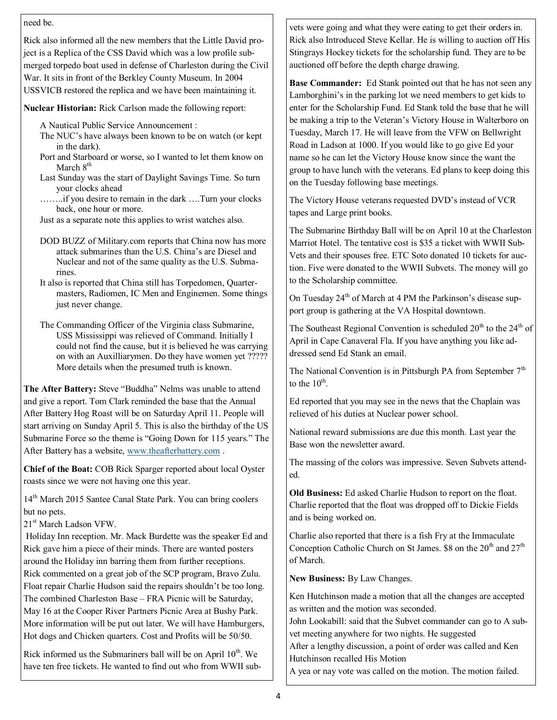need be.

Rick also informed all the new members that the Little David project is a Replica of the CSS David which was a low profile submerged torpedo boat used in defense of Charleston during the Civil War. It sits in front of the Berkley County Museum. In 2004 USSVICB restored the replica and we have been maintaining it.

**Nuclear Historian:** Rick Carlson made the following report:

A Nautical Public Service Announcement :

- The NUC's have always been known to be on watch (or kept in the dark).
- Port and Starboard or worse, so I wanted to let them know on March 8<sup>th</sup>
- Last Sunday was the start of Daylight Savings Time. So turn your clocks ahead
- ……..if you desire to remain in the dark ….Turn your clocks back, one hour or more.

Just as a separate note this applies to wrist watches also.

DOD BUZZ of Military.com reports that China now has more attack submarines than the U.S. China's are Diesel and Nuclear and not of the same quality as the U.S. Submarines.

It also is reported that China still has Torpedomen, Quartermasters, Radiomen, IC Men and Enginemen. Some things just never change.

The Commanding Officer of the Virginia class Submarine, USS Mississippi was relieved of Command. Initially I could not find the cause, but it is believed he was carrying on with an Auxilliarymen. Do they have women yet ????? More details when the presumed truth is known.

The After Battery: Steve "Buddha" Nelms was unable to attend and give a report. Tom Clark reminded the base that the Annual After Battery Hog Roast will be on Saturday April 11. People will start arriving on Sunday April 5. This is also the birthday of the US Submarine Force so the theme is "Going Down for 115 years." The After Battery has a website, [www.theafterbattery.com](http://www.theafterbattery.com) .

**Chief of the Boat:** COB Rick Sparger reported about local Oyster roasts since we were not having one this year.

14th March 2015 Santee Canal State Park. You can bring coolers but no pets.

21<sup>st</sup> March Ladson VFW.

Holiday Inn reception. Mr. Mack Burdette was the speaker Ed and Rick gave him a piece of their minds. There are wanted posters around the Holiday inn barring them from further receptions. Rick commented on a great job of the SCP program, Bravo Zulu. Float repair Charlie Hudson said the repairs shouldn't be too long. The combined Charleston Base – FRA Picnic will be Saturday, May 16 at the Cooper River Partners Picnic Area at Bushy Park. More information will be put out later. We will have Hamburgers, Hot dogs and Chicken quarters. Cost and Profits will be 50/50.

Rick informed us the Submariners ball will be on April  $10<sup>th</sup>$ . We have ten free tickets. He wanted to find out who from WWII subvets were going and what they were eating to get their orders in. Rick also Introduced Steve Kellar. He is willing to auction off His Stingrays Hockey tickets for the scholarship fund. They are to be auctioned off before the depth charge drawing.

**Base Commander:** Ed Stank pointed out that he has not seen any Lamborghini's in the parking lot we need members to get kids to enter for the Scholarship Fund. Ed Stank told the base that he will be making a trip to the Veteran's Victory House in Walterboro on Tuesday, March 17. He will leave from the VFW on Bellwright Road in Ladson at 1000. If you would like to go give Ed your name so he can let the Victory House know since the want the group to have lunch with the veterans. Ed plans to keep doing this on the Tuesday following base meetings.

The Victory House veterans requested DVD's instead of VCR tapes and Large print books.

The Submarine Birthday Ball will be on April 10 at the Charleston Marriot Hotel. The tentative cost is \$35 a ticket with WWII Sub-Vets and their spouses free. ETC Soto donated 10 tickets for auction. Five were donated to the WWII Subvets. The money will go to the Scholarship committee.

On Tuesday 24<sup>th</sup> of March at 4 PM the Parkinson's disease support group is gathering at the VA Hospital downtown.

The Southeast Regional Convention is scheduled  $20<sup>th</sup>$  to the  $24<sup>th</sup>$  of April in Cape Canaveral Fla. If you have anything you like addressed send Ed Stank an email.

The National Convention is in Pittsburgh PA from September  $7<sup>th</sup>$ to the  $10^{\text{th}}$ .

Ed reported that you may see in the news that the Chaplain was relieved of his duties at Nuclear power school.

National reward submissions are due this month. Last year the Base won the newsletter award.

The massing of the colors was impressive. Seven Subvets attended.

**Old Business:** Ed asked Charlie Hudson to report on the float. Charlie reported that the float was dropped off to Dickie Fields and is being worked on.

Charlie also reported that there is a fish Fry at the Immaculate Conception Catholic Church on St James.  $$8$  on the 20<sup>th</sup> and 27<sup>th</sup> of March.

**New Business:** By Law Changes.

Ken Hutchinson made a motion that all the changes are accepted as written and the motion was seconded.

John Lookabill: said that the Subvet commander can go to A subvet meeting anywhere for two nights. He suggested

After a lengthy discussion, a point of order was called and Ken Hutchinson recalled His Motion

A yea or nay vote was called on the motion. The motion failed.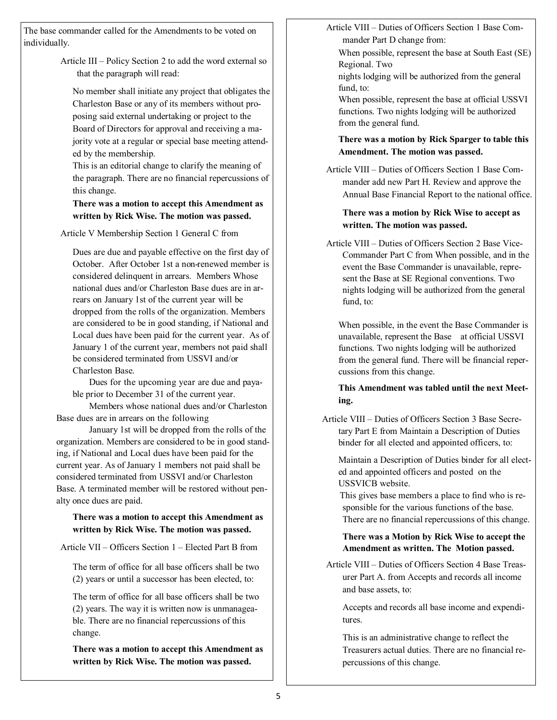The base commander called for the Amendments to be voted on individually.

> Article III – Policy Section 2 to add the word external so that the paragraph will read:

No member shall initiate any project that obligates the Charleston Base or any of its members without proposing said external undertaking or project to the Board of Directors for approval and receiving a majority vote at a regular or special base meeting attended by the membership.

This is an editorial change to clarify the meaning of the paragraph. There are no financial repercussions of this change.

## **There was a motion to accept this Amendment as written by Rick Wise. The motion was passed.**

Article V Membership Section 1 General C from

Dues are due and payable effective on the first day of October. After October 1st a non-renewed member is considered delinquent in arrears. Members Whose national dues and/or Charleston Base dues are in arrears on January 1st of the current year will be dropped from the rolls of the organization. Members are considered to be in good standing, if National and Local dues have been paid for the current year. As of January 1 of the current year, members not paid shall be considered terminated from USSVI and/or Charleston Base.

Dues for the upcoming year are due and payable prior to December 31 of the current year.

Members whose national dues and/or Charleston Base dues are in arrears on the following

January 1st will be dropped from the rolls of the organization. Members are considered to be in good standing, if National and Local dues have been paid for the current year. As of January 1 members not paid shall be considered terminated from USSVI and/or Charleston Base. A terminated member will be restored without penalty once dues are paid.

# **There was a motion to accept this Amendment as written by Rick Wise. The motion was passed.**

Article VII – Officers Section 1 – Elected Part B from

The term of office for all base officers shall be two (2) years or until a successor has been elected, to:

The term of office for all base officers shall be two (2) years. The way it is written now is unmanageable. There are no financial repercussions of this change.

**There was a motion to accept this Amendment as written by Rick Wise. The motion was passed.**

Article VIII – Duties of Officers Section 1 Base Commander Part D change from:

When possible, represent the base at South East (SE) Regional. Two

nights lodging will be authorized from the general fund, to:

When possible, represent the base at official USSVI functions. Two nights lodging will be authorized from the general fund.

**There was a motion by Rick Sparger to table this Amendment. The motion was passed.**

Article VIII – Duties of Officers Section 1 Base Commander add new Part H. Review and approve the Annual Base Financial Report to the national office.

# **There was a motion by Rick Wise to accept as written. The motion was passed.**

Article VIII – Duties of Officers Section 2 Base Vice-Commander Part C from When possible, and in the event the Base Commander is unavailable, represent the Base at SE Regional conventions. Two nights lodging will be authorized from the general fund, to:

When possible, in the event the Base Commander is unavailable, represent the Base at official USSVI functions. Two nights lodging will be authorized from the general fund. There will be financial repercussions from this change.

# **This Amendment was tabled until the next Meeting.**

Article VIII – Duties of Officers Section 3 Base Secretary Part E from Maintain a Description of Duties binder for all elected and appointed officers, to:

Maintain a Description of Duties binder for all elected and appointed officers and posted on the USSVICB website.

This gives base members a place to find who is responsible for the various functions of the base. There are no financial repercussions of this change.

# **There was a Motion by Rick Wise to accept the Amendment as written. The Motion passed.**

Article VIII – Duties of Officers Section 4 Base Treasurer Part A. from Accepts and records all income and base assets, to:

Accepts and records all base income and expenditures.

This is an administrative change to reflect the Treasurers actual duties. There are no financial repercussions of this change.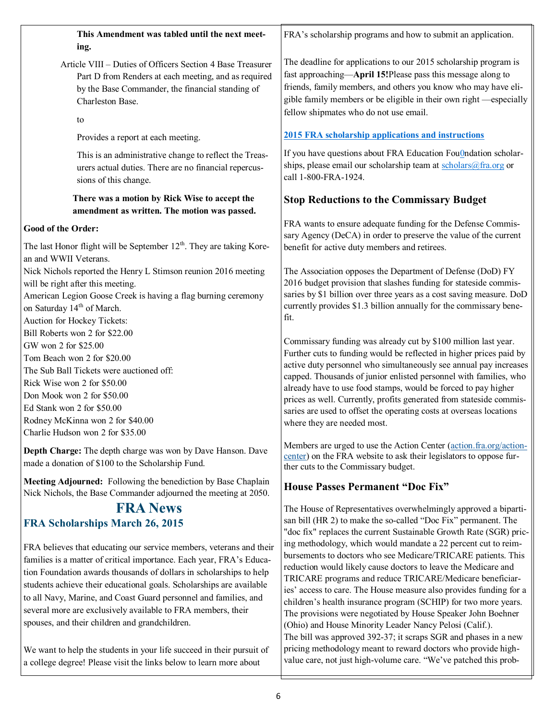| This Amendment was tabled until the next meet-<br>ing.                                                                                                                                                                                                                                               | FRA's scholarship programs and how to submit an application.                                                                                                                                                                                                                                                                                                                                                                                                                                                                   |  |
|------------------------------------------------------------------------------------------------------------------------------------------------------------------------------------------------------------------------------------------------------------------------------------------------------|--------------------------------------------------------------------------------------------------------------------------------------------------------------------------------------------------------------------------------------------------------------------------------------------------------------------------------------------------------------------------------------------------------------------------------------------------------------------------------------------------------------------------------|--|
| Article VIII – Duties of Officers Section 4 Base Treasurer<br>Part D from Renders at each meeting, and as required<br>by the Base Commander, the financial standing of<br>Charleston Base.<br>to                                                                                                     | The deadline for applications to our 2015 scholarship program is<br>fast approaching-April 15! Please pass this message along to<br>friends, family members, and others you know who may have eli-<br>gible family members or be eligible in their own right —especially<br>fellow shipmates who do not use email.<br>2015 FRA scholarship applications and instructions                                                                                                                                                       |  |
| Provides a report at each meeting.                                                                                                                                                                                                                                                                   |                                                                                                                                                                                                                                                                                                                                                                                                                                                                                                                                |  |
| This is an administrative change to reflect the Treas-<br>urers actual duties. There are no financial repercus-<br>sions of this change.                                                                                                                                                             | If you have questions about FRA Education Fou0ndation scholar-<br>ships, please email our scholarship team at scholars@fra.org or<br>call 1-800-FRA-1924.                                                                                                                                                                                                                                                                                                                                                                      |  |
| There was a motion by Rick Wise to accept the<br>amendment as written. The motion was passed.                                                                                                                                                                                                        | <b>Stop Reductions to the Commissary Budget</b>                                                                                                                                                                                                                                                                                                                                                                                                                                                                                |  |
| <b>Good of the Order:</b><br>The last Honor flight will be September $12th$ . They are taking Kore-<br>an and WWII Veterans.                                                                                                                                                                         | FRA wants to ensure adequate funding for the Defense Commis-<br>sary Agency (DeCA) in order to preserve the value of the current<br>benefit for active duty members and retirees.                                                                                                                                                                                                                                                                                                                                              |  |
| Nick Nichols reported the Henry L Stimson reunion 2016 meeting<br>will be right after this meeting.<br>American Legion Goose Creek is having a flag burning ceremony<br>on Saturday 14 <sup>th</sup> of March.<br>Auction for Hockey Tickets:                                                        | The Association opposes the Department of Defense (DoD) FY<br>2016 budget provision that slashes funding for stateside commis-<br>saries by \$1 billion over three years as a cost saving measure. DoD<br>currently provides \$1.3 billion annually for the commissary bene-<br>fit.                                                                                                                                                                                                                                           |  |
| Bill Roberts won 2 for \$22.00<br>GW won 2 for \$25.00<br>Tom Beach won 2 for \$20.00<br>The Sub Ball Tickets were auctioned off:<br>Rick Wise won 2 for \$50.00<br>Don Mook won 2 for \$50.00<br>Ed Stank won 2 for \$50.00<br>Rodney McKinna won 2 for \$40.00<br>Charlie Hudson won 2 for \$35.00 | Commissary funding was already cut by \$100 million last year.<br>Further cuts to funding would be reflected in higher prices paid by<br>active duty personnel who simultaneously see annual pay increases<br>capped. Thousands of junior enlisted personnel with families, who<br>already have to use food stamps, would be forced to pay higher<br>prices as well. Currently, profits generated from stateside commis-<br>saries are used to offset the operating costs at overseas locations<br>where they are needed most. |  |
| Depth Charge: The depth charge was won by Dave Hanson. Dave<br>made a donation of \$100 to the Scholarship Fund.                                                                                                                                                                                     | Members are urged to use the Action Center (action fra org/action-<br>center) on the FRA website to ask their legislators to oppose fur-<br>ther cuts to the Commissary budget.                                                                                                                                                                                                                                                                                                                                                |  |
| Meeting Adjourned: Following the benediction by Base Chaplain<br>Nick Nichols, the Base Commander adjourned the meeting at 2050.                                                                                                                                                                     | <b>House Passes Permanent "Doc Fix"</b>                                                                                                                                                                                                                                                                                                                                                                                                                                                                                        |  |

# **FRA News FRA Scholarships March 26, 2015**

FRA believes that educating our service members, veterans and their families is a matter of critical importance. Each year, FRA's Education Foundation awards thousands of dollars in scholarships to help students achieve their educational goals. Scholarships are available to all Navy, Marine, and Coast Guard personnel and families, and several more are exclusively available to FRA members, their spouses, and their children and grandchildren.

We want to help the students in your life succeed in their pursuit of a college degree! Please visit the links below to learn more about

The House of Representatives overwhelmingly approved a bipartisan bill (HR 2) to make the so-called "Doc Fix" permanent. The "doc fix" replaces the current Sustainable Growth Rate (SGR) pricing methodology, which would mandate a 22 percent cut to reimbursements to doctors who see Medicare/TRICARE patients. This reduction would likely cause doctors to leave the Medicare and TRICARE programs and reduce TRICARE/Medicare beneficiaries' access to care. The House measure also provides funding for a children's health insurance program (SCHIP) for two more years. The provisions were negotiated by House Speaker John Boehner (Ohio) and House Minority Leader Nancy Pelosi (Calif.).

The bill was approved 392-37; it scraps SGR and phases in a new pricing methodology meant to reward doctors who provide highvalue care, not just high-volume care. "We've patched this prob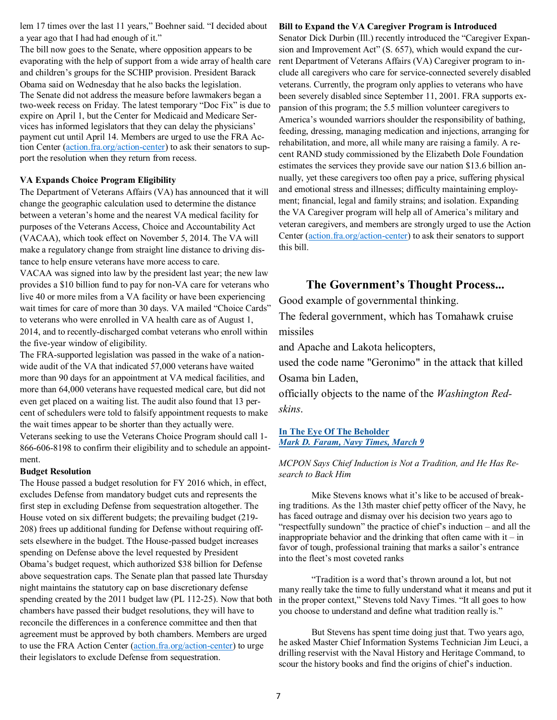lem 17 times over the last 11 years," Boehner said. "I decided about a year ago that I had had enough of it."

The bill now goes to the Senate, where opposition appears to be evaporating with the help of support from a wide array of health care and children's groups for the SCHIP provision. President Barack Obama said on Wednesday that he also backs the legislation. The Senate did not address the measure before lawmakers began a two-week recess on Friday. The latest temporary "Doc Fix" is due to expire on April 1, but the Center for Medicaid and Medicare Services has informed legislators that they can delay the physicians' payment cut until April 14. Members are urged to use the FRA Action Center ([action.fra.org/action](http://cqrcengage.com/fra/app/thru?ep=AAAAC2Flc0NpcGhlcjAxFSfRCtuBT4tk7ODLTSZ_xVbmuL0_coXHVMywZ0DSNTfjMjyqvPBx0IMkt_5S0goNXJeDniXohlBgbiDhbowEreqNK54lJFhrdIfMxM5tR1AzSqkUBM--3dMGgU2rDcq5uPBAgR_85mh77s4Lr1Uquw&lp=0)-center) to ask their senators to support the resolution when they return from recess.

#### **VA Expands Choice Program Eligibility**

The Department of Veterans Affairs (VA) has announced that it will change the geographic calculation used to determine the distance between a veteran's home and the nearest VA medical facility for purposes of the Veterans Access, Choice and Accountability Act (VACAA), which took effect on November 5, 2014. The VA will make a regulatory change from straight line distance to driving distance to help ensure veterans have more access to care.

VACAA was signed into law by the president last year; the new law provides a \$10 billion fund to pay for non-VA care for veterans who live 40 or more miles from a VA facility or have been experiencing wait times for care of more than 30 days. VA mailed "Choice Cards" to veterans who were enrolled in VA health care as of August 1, 2014, and to recently-discharged combat veterans who enroll within the five-year window of eligibility.

The FRA-supported legislation was passed in the wake of a nationwide audit of the VA that indicated 57,000 veterans have waited more than 90 days for an appointment at VA medical facilities, and more than 64,000 veterans have requested medical care, but did not even get placed on a waiting list. The audit also found that 13 percent of schedulers were told to falsify appointment requests to make the wait times appear to be shorter than they actually were. Veterans seeking to use the Veterans Choice Program should call 1- 866-606-8198 to confirm their eligibility and to schedule an appointment.

#### **Budget Resolution**

The House passed a budget resolution for FY 2016 which, in effect, excludes Defense from mandatory budget cuts and represents the first step in excluding Defense from sequestration altogether. The House voted on six different budgets; the prevailing budget (219- 208) frees up additional funding for Defense without requiring offsets elsewhere in the budget. Tthe House-passed budget increases spending on Defense above the level requested by President Obama's budget request, which authorized \$38 billion for Defense above sequestration caps. The Senate plan that passed late Thursday night maintains the statutory cap on base discretionary defense spending created by the 2011 budget law (PL 112-25). Now that both chambers have passed their budget resolutions, they will have to reconcile the differences in a conference committee and then that agreement must be approved by both chambers. Members are urged to use the FRA Action Center [\(action.fra.org/action](http://cqrcengage.com/fra/app/thru?ep=AAAAC2Flc0NpcGhlcjAxXvoHoBp8R6TlHZBiF2ep_PJnbq3UPaWuTakmMVMM9vzRbyCdKPVNIytc1pEqB5KptEIZfcr57gWwWkDva9Qi5rWeH8JFLg0hdv9OBPCqOTtZkXRcWI7nAOQyi2GKkpN3auLUCY8KDoggwdubLwpZYA&lp=0)-center) to urge their legislators to exclude Defense from sequestration.

#### **Bill to Expand the VA Caregiver Program is Introduced**

Senator Dick Durbin (Ill.) recently introduced the "Caregiver Expansion and Improvement Act" (S. 657), which would expand the current Department of Veterans Affairs (VA) Caregiver program to include all caregivers who care for service-connected severely disabled veterans. Currently, the program only applies to veterans who have been severely disabled since September 11, 2001. FRA supports expansion of this program; the 5.5 million volunteer caregivers to America's wounded warriors shoulder the responsibility of bathing, feeding, dressing, managing medication and injections, arranging for rehabilitation, and more, all while many are raising a family. A recent RAND study commissioned by the Elizabeth Dole Foundation estimates the services they provide save our nation \$13.6 billion annually, yet these caregivers too often pay a price, suffering physical and emotional stress and illnesses; difficulty maintaining employment; financial, legal and family strains; and isolation. Expanding the VA Caregiver program will help all of America's military and veteran caregivers, and members are strongly urged to use the Action Center [\(action.fra.org/action](http://cqrcengage.com/fra/app/thru?ep=AAAAC2Flc0NpcGhlcjAxs4-DuXe7Bc0WqL_TqOtDff5fxVQYf0S_cn6ZD6IbcDXu9wWV4acJ_8PmTFNGtiIPqythHAbwiFFLdKc5lVi8QsJvFEjKT8mtOxsiLcTaF9w3PLOHa7kuyy3q0KAmWp0UU0YibEH5fjLcyjJ7DinQow&lp=0)-center) to ask their senators to support this bill.

# **The Government's Thought Process...**

Good example of governmental thinking.

The federal government, which has Tomahawk cruise missiles

and Apache and Lakota helicopters,

used the code name "Geronimo" in the attack that killed Osama bin Laden,

officially objects to the name of the *Washington Redskins*.

#### **[In The Eye Of The Beholder](file:///C:/Users/george/Downloads/USWN_02March2015.doc#Underwater)** *[Mark D. Faram, Navy Times, March 9](file:///C:/Users/george/Downloads/USWN_02March2015.doc#Underwater)*

*MCPON Says Chief Induction is Not a Tradition, and He Has Research to Back Him*

Mike Stevens knows what it's like to be accused of breaking traditions. As the 13th master chief petty officer of the Navy, he has faced outrage and dismay over his decision two years ago to "respectfully sundown" the practice of chief's induction – and all the inappropriate behavior and the drinking that often came with  $it - in$ favor of tough, professional training that marks a sailor's entrance into the fleet's most coveted ranks

―Tradition is a word that's thrown around a lot, but not many really take the time to fully understand what it means and put it in the proper context," Stevens told Navy Times. "It all goes to how you choose to understand and define what tradition really is."

But Stevens has spent time doing just that. Two years ago, he asked Master Chief Information Systems Technician Jim Leuci, a drilling reservist with the Naval History and Heritage Command, to scour the history books and find the origins of chief's induction.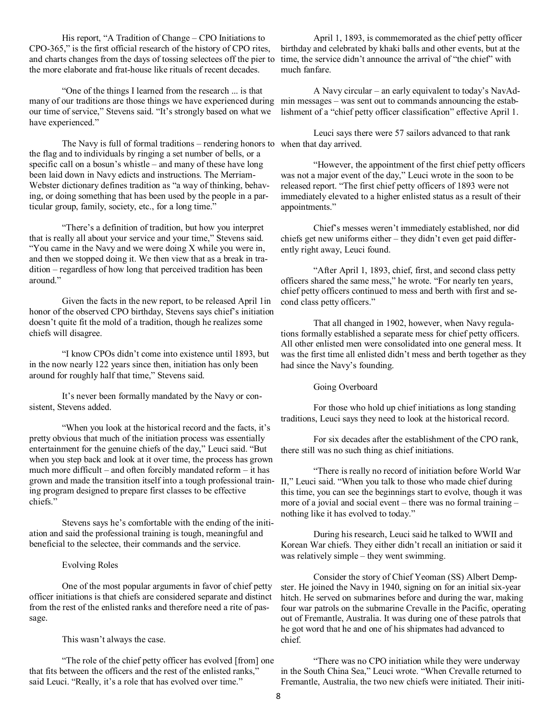His report, "A Tradition of Change – CPO Initiations to CPO-365," is the first official research of the history of CPO rites, and charts changes from the days of tossing selectees off the pier to the more elaborate and frat-house like rituals of recent decades.

―One of the things I learned from the research ... is that many of our traditions are those things we have experienced during min messages – was sent out to commands announcing the estabour time of service," Stevens said. "It's strongly based on what we have experienced."

The Navy is full of formal traditions – rendering honors to when that day arrived. the flag and to individuals by ringing a set number of bells, or a specific call on a bosun's whistle – and many of these have long been laid down in Navy edicts and instructions. The Merriam-Webster dictionary defines tradition as "a way of thinking, behaving, or doing something that has been used by the people in a particular group, family, society, etc., for a long time."

―There's a definition of tradition, but how you interpret that is really all about your service and your time," Stevens said. "You came in the Navy and we were doing  $X$  while you were in, and then we stopped doing it. We then view that as a break in tradition – regardless of how long that perceived tradition has been around."

Given the facts in the new report, to be released April 1in honor of the observed CPO birthday, Stevens says chief's initiation doesn't quite fit the mold of a tradition, though he realizes some chiefs will disagree.

―I know CPOs didn't come into existence until 1893, but in the now nearly 122 years since then, initiation has only been around for roughly half that time," Stevens said.

It's never been formally mandated by the Navy or consistent, Stevens added.

―When you look at the historical record and the facts, it's pretty obvious that much of the initiation process was essentially entertainment for the genuine chiefs of the day," Leuci said. "But when you step back and look at it over time, the process has grown much more difficult – and often forcibly mandated reform – it has grown and made the transition itself into a tough professional training program designed to prepare first classes to be effective chiefs."

Stevens says he's comfortable with the ending of the initiation and said the professional training is tough, meaningful and beneficial to the selectee, their commands and the service.

#### Evolving Roles

One of the most popular arguments in favor of chief petty officer initiations is that chiefs are considered separate and distinct from the rest of the enlisted ranks and therefore need a rite of passage.

This wasn't always the case.

"The role of the chief petty officer has evolved [from] one that fits between the officers and the rest of the enlisted ranks," said Leuci. "Really, it's a role that has evolved over time."

April 1, 1893, is commemorated as the chief petty officer birthday and celebrated by khaki balls and other events, but at the time, the service didn't announce the arrival of "the chief" with much fanfare.

A Navy circular – an early equivalent to today's NavAdlishment of a "chief petty officer classification" effective April 1.

Leuci says there were 57 sailors advanced to that rank

―However, the appointment of the first chief petty officers was not a major event of the day," Leuci wrote in the soon to be released report. "The first chief petty officers of 1893 were not immediately elevated to a higher enlisted status as a result of their appointments."

Chief's messes weren't immediately established, nor did chiefs get new uniforms either – they didn't even get paid differently right away, Leuci found.

"After April 1, 1893, chief, first, and second class petty officers shared the same mess," he wrote. "For nearly ten years, chief petty officers continued to mess and berth with first and second class petty officers."

That all changed in 1902, however, when Navy regulations formally established a separate mess for chief petty officers. All other enlisted men were consolidated into one general mess. It was the first time all enlisted didn't mess and berth together as they had since the Navy's founding.

Going Overboard

For those who hold up chief initiations as long standing traditions, Leuci says they need to look at the historical record.

For six decades after the establishment of the CPO rank, there still was no such thing as chief initiations.

―There is really no record of initiation before World War II," Leuci said. "When you talk to those who made chief during this time, you can see the beginnings start to evolve, though it was more of a jovial and social event – there was no formal training – nothing like it has evolved to today."

During his research, Leuci said he talked to WWII and Korean War chiefs. They either didn't recall an initiation or said it was relatively simple – they went swimming.

Consider the story of Chief Yeoman (SS) Albert Dempster. He joined the Navy in 1940, signing on for an initial six-year hitch. He served on submarines before and during the war, making four war patrols on the submarine Crevalle in the Pacific, operating out of Fremantle, Australia. It was during one of these patrols that he got word that he and one of his shipmates had advanced to chief.

―There was no CPO initiation while they were underway in the South China Sea," Leuci wrote. "When Crevalle returned to Fremantle, Australia, the two new chiefs were initiated. Their initi-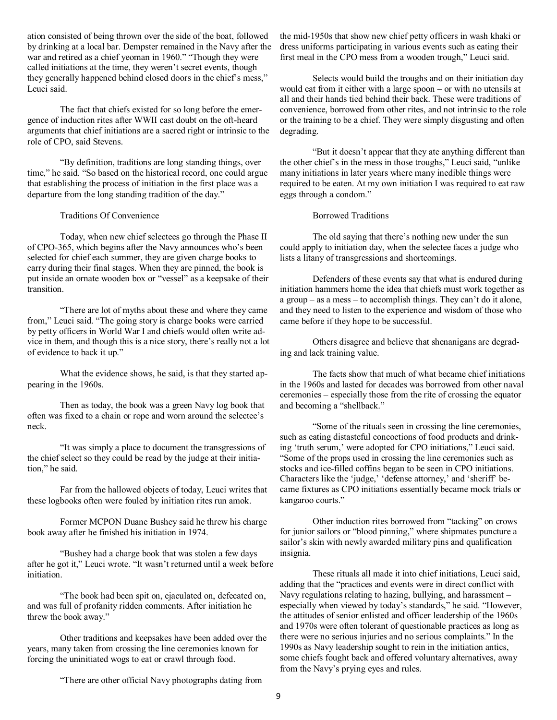ation consisted of being thrown over the side of the boat, followed by drinking at a local bar. Dempster remained in the Navy after the war and retired as a chief yeoman in 1960." "Though they were called initiations at the time, they weren't secret events, though they generally happened behind closed doors in the chief's mess," Leuci said.

The fact that chiefs existed for so long before the emergence of induction rites after WWII cast doubt on the oft-heard arguments that chief initiations are a sacred right or intrinsic to the role of CPO, said Stevens.

―By definition, traditions are long standing things, over time," he said. "So based on the historical record, one could argue that establishing the process of initiation in the first place was a departure from the long standing tradition of the day."

Traditions Of Convenience

Today, when new chief selectees go through the Phase II of CPO-365, which begins after the Navy announces who's been selected for chief each summer, they are given charge books to carry during their final stages. When they are pinned, the book is put inside an ornate wooden box or "vessel" as a keepsake of their transition.

―There are lot of myths about these and where they came from," Leuci said. "The going story is charge books were carried by petty officers in World War I and chiefs would often write advice in them, and though this is a nice story, there's really not a lot of evidence to back it up."

What the evidence shows, he said, is that they started appearing in the 1960s.

Then as today, the book was a green Navy log book that often was fixed to a chain or rope and worn around the selectee's neck.

―It was simply a place to document the transgressions of the chief select so they could be read by the judge at their initiation," he said.

Far from the hallowed objects of today, Leuci writes that these logbooks often were fouled by initiation rites run amok.

Former MCPON Duane Bushey said he threw his charge book away after he finished his initiation in 1974.

―Bushey had a charge book that was stolen a few days after he got it," Leuci wrote. "It wasn't returned until a week before initiation.

―The book had been spit on, ejaculated on, defecated on, and was full of profanity ridden comments. After initiation he threw the book away."

Other traditions and keepsakes have been added over the years, many taken from crossing the line ceremonies known for forcing the uninitiated wogs to eat or crawl through food.

―There are other official Navy photographs dating from

the mid-1950s that show new chief petty officers in wash khaki or dress uniforms participating in various events such as eating their first meal in the CPO mess from a wooden trough," Leuci said.

Selects would build the troughs and on their initiation day would eat from it either with a large spoon – or with no utensils at all and their hands tied behind their back. These were traditions of convenience, borrowed from other rites, and not intrinsic to the role or the training to be a chief. They were simply disgusting and often degrading.

―But it doesn't appear that they ate anything different than the other chief's in the mess in those troughs," Leuci said, "unlike" many initiations in later years where many inedible things were required to be eaten. At my own initiation I was required to eat raw eggs through a condom."

Borrowed Traditions

The old saying that there's nothing new under the sun could apply to initiation day, when the selectee faces a judge who lists a litany of transgressions and shortcomings.

Defenders of these events say that what is endured during initiation hammers home the idea that chiefs must work together as a group – as a mess – to accomplish things. They can't do it alone, and they need to listen to the experience and wisdom of those who came before if they hope to be successful.

Others disagree and believe that shenanigans are degrading and lack training value.

The facts show that much of what became chief initiations in the 1960s and lasted for decades was borrowed from other naval ceremonies – especially those from the rite of crossing the equator and becoming a "shellback."

―Some of the rituals seen in crossing the line ceremonies, such as eating distasteful concoctions of food products and drinking 'truth serum,' were adopted for CPO initiations," Leuci said. ―Some of the props used in crossing the line ceremonies such as stocks and ice-filled coffins began to be seen in CPO initiations. Characters like the 'judge,' 'defense attorney,' and 'sheriff' became fixtures as CPO initiations essentially became mock trials or kangaroo courts."

Other induction rites borrowed from "tacking" on crows for junior sailors or "blood pinning," where shipmates puncture a sailor's skin with newly awarded military pins and qualification insignia.

These rituals all made it into chief initiations, Leuci said, adding that the "practices and events were in direct conflict with Navy regulations relating to hazing, bullying, and harassment – especially when viewed by today's standards," he said. "However, the attitudes of senior enlisted and officer leadership of the 1960s and 1970s were often tolerant of questionable practices as long as there were no serious injuries and no serious complaints." In the 1990s as Navy leadership sought to rein in the initiation antics, some chiefs fought back and offered voluntary alternatives, away from the Navy's prying eyes and rules.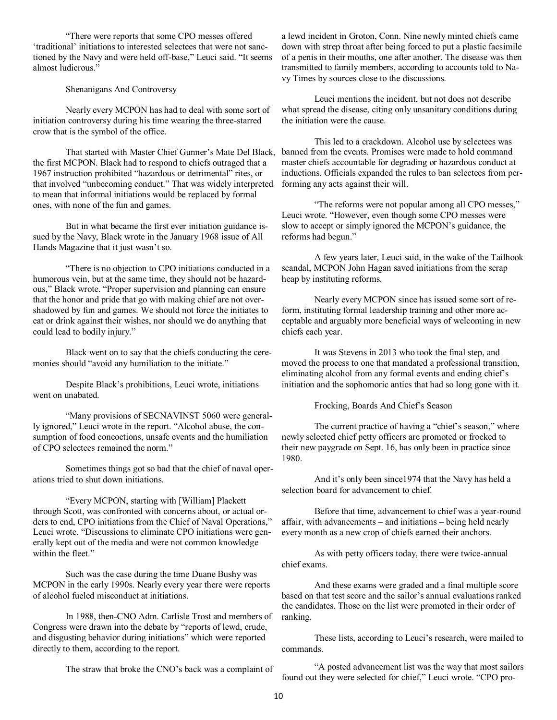―There were reports that some CPO messes offered ‗traditional' initiations to interested selectees that were not sanctioned by the Navy and were held off-base," Leuci said. "It seems almost ludicrous."

#### Shenanigans And Controversy

Nearly every MCPON has had to deal with some sort of initiation controversy during his time wearing the three-starred crow that is the symbol of the office.

That started with Master Chief Gunner's Mate Del Black, the first MCPON. Black had to respond to chiefs outraged that a 1967 instruction prohibited "hazardous or detrimental" rites, or that involved "unbecoming conduct." That was widely interpreted to mean that informal initiations would be replaced by formal ones, with none of the fun and games.

But in what became the first ever initiation guidance issued by the Navy, Black wrote in the January 1968 issue of All Hands Magazine that it just wasn't so.

―There is no objection to CPO initiations conducted in a humorous vein, but at the same time, they should not be hazardous," Black wrote. "Proper supervision and planning can ensure that the honor and pride that go with making chief are not overshadowed by fun and games. We should not force the initiates to eat or drink against their wishes, nor should we do anything that could lead to bodily injury."

Black went on to say that the chiefs conducting the ceremonies should "avoid any humiliation to the initiate."

Despite Black's prohibitions, Leuci wrote, initiations went on unabated.

"Many provisions of SECNAVINST 5060 were generally ignored," Leuci wrote in the report. "Alcohol abuse, the consumption of food concoctions, unsafe events and the humiliation of CPO selectees remained the norm."

Sometimes things got so bad that the chief of naval operations tried to shut down initiations.

―Every MCPON, starting with [William] Plackett through Scott, was confronted with concerns about, or actual orders to end, CPO initiations from the Chief of Naval Operations," Leuci wrote. "Discussions to eliminate CPO initiations were generally kept out of the media and were not common knowledge within the fleet."

Such was the case during the time Duane Bushy was MCPON in the early 1990s. Nearly every year there were reports of alcohol fueled misconduct at initiations.

In 1988, then-CNO Adm. Carlisle Trost and members of Congress were drawn into the debate by "reports of lewd, crude, and disgusting behavior during initiations" which were reported directly to them, according to the report.

The straw that broke the CNO's back was a complaint of

a lewd incident in Groton, Conn. Nine newly minted chiefs came down with strep throat after being forced to put a plastic facsimile of a penis in their mouths, one after another. The disease was then transmitted to family members, according to accounts told to Navy Times by sources close to the discussions.

Leuci mentions the incident, but not does not describe what spread the disease, citing only unsanitary conditions during the initiation were the cause.

This led to a crackdown. Alcohol use by selectees was banned from the events. Promises were made to hold command master chiefs accountable for degrading or hazardous conduct at inductions. Officials expanded the rules to ban selectees from performing any acts against their will.

"The reforms were not popular among all CPO messes," Leuci wrote. "However, even though some CPO messes were slow to accept or simply ignored the MCPON's guidance, the reforms had begun."

A few years later, Leuci said, in the wake of the Tailhook scandal, MCPON John Hagan saved initiations from the scrap heap by instituting reforms.

Nearly every MCPON since has issued some sort of reform, instituting formal leadership training and other more acceptable and arguably more beneficial ways of welcoming in new chiefs each year.

It was Stevens in 2013 who took the final step, and moved the process to one that mandated a professional transition, eliminating alcohol from any formal events and ending chief's initiation and the sophomoric antics that had so long gone with it.

Frocking, Boards And Chief's Season

The current practice of having a "chief's season," where newly selected chief petty officers are promoted or frocked to their new paygrade on Sept. 16, has only been in practice since 1980.

And it's only been since1974 that the Navy has held a selection board for advancement to chief.

Before that time, advancement to chief was a year-round affair, with advancements – and initiations – being held nearly every month as a new crop of chiefs earned their anchors.

As with petty officers today, there were twice-annual chief exams.

And these exams were graded and a final multiple score based on that test score and the sailor's annual evaluations ranked the candidates. Those on the list were promoted in their order of ranking.

These lists, according to Leuci's research, were mailed to commands.

―A posted advancement list was the way that most sailors found out they were selected for chief," Leuci wrote. "CPO pro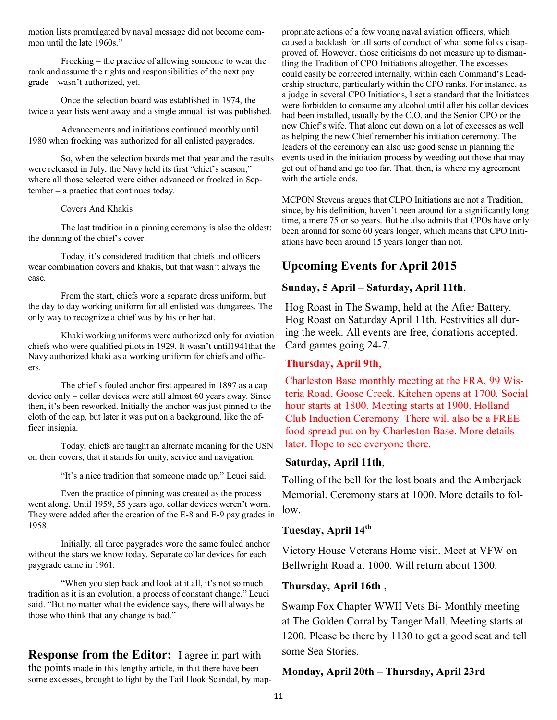motion lists promulgated by naval message did not become common until the late 1960s."

Frocking – the practice of allowing someone to wear the rank and assume the rights and responsibilities of the next pay grade – wasn't authorized, yet.

Once the selection board was established in 1974, the twice a year lists went away and a single annual list was published.

Advancements and initiations continued monthly until 1980 when frocking was authorized for all enlisted paygrades.

So, when the selection boards met that year and the results were released in July, the Navy held its first "chief's season," where all those selected were either advanced or frocked in September – a practice that continues today.

Covers And Khakis

The last tradition in a pinning ceremony is also the oldest: the donning of the chief's cover.

Today, it's considered tradition that chiefs and officers wear combination covers and khakis, but that wasn't always the case.

From the start, chiefs wore a separate dress uniform, but the day to day working uniform for all enlisted was dungarees. The only way to recognize a chief was by his or her hat.

Khaki working uniforms were authorized only for aviation chiefs who were qualified pilots in 1929. It wasn't until1941that the Navy authorized khaki as a working uniform for chiefs and officers.

The chief's fouled anchor first appeared in 1897 as a cap device only – collar devices were still almost 60 years away. Since then, it's been reworked. Initially the anchor was just pinned to the cloth of the cap, but later it was put on a background, like the officer insignia.

Today, chiefs are taught an alternate meaning for the USN on their covers, that it stands for unity, service and navigation.

"It's a nice tradition that someone made up," Leuci said.

Even the practice of pinning was created as the process went along. Until 1959, 55 years ago, collar devices weren't worn. They were added after the creation of the E-8 and E-9 pay grades in 1958.

Initially, all three paygrades wore the same fouled anchor without the stars we know today. Separate collar devices for each paygrade came in 1961.

―When you step back and look at it all, it's not so much tradition as it is an evolution, a process of constant change," Leuci said. "But no matter what the evidence says, there will always be those who think that any change is bad."

**Response from the Editor:** I agree in part with the points made in this lengthy article, in that there have been some excesses, brought to light by the Tail Hook Scandal, by inap-

propriate actions of a few young naval aviation officers, which caused a backlash for all sorts of conduct of what some folks disapproved of. However, those criticisms do not measure up to dismantling the Tradition of CPO Initiations altogether. The excesses could easily be corrected internally, within each Command's Leadership structure, particularly within the CPO ranks. For instance, as a judge in several CPO Initiations, I set a standard that the Initiatees were forbidden to consume any alcohol until after his collar devices had been installed, usually by the C.O. and the Senior CPO or the new Chief's wife. That alone cut down on a lot of excesses as well as helping the new Chief remember his initiation ceremony. The leaders of the ceremony can also use good sense in planning the events used in the initiation process by weeding out those that may get out of hand and go too far. That, then, is where my agreement with the article ends.

MCPON Stevens argues that CLPO Initiations are not a Tradition, since, by his definition, haven't been around for a significantly long time, a mere 75 or so years. But he also admits that CPOs have only been around for some 60 years longer, which means that CPO Initiations have been around 15 years longer than not.

# **Upcoming Events for April 2015**

# **Sunday, 5 April – Saturday, April 11th**,

Hog Roast in The Swamp, held at the After Battery. Hog Roast on Saturday April 11th. Festivities all during the week. All events are free, donations accepted. Card games going 24-7.

# **Thursday, April 9th**,

Charleston Base monthly meeting at the FRA, 99 Wisteria Road, Goose Creek. Kitchen opens at 1700. Social hour starts at 1800. Meeting starts at 1900. Holland Club Induction Ceremony. There will also be a FREE food spread put on by Charleston Base. More details later. Hope to see everyone there.

# **Saturday, April 11th**,

Tolling of the bell for the lost boats and the Amberjack Memorial. Ceremony stars at 1000. More details to follow.

# **Tuesday, April 14th**

Victory House Veterans Home visit. Meet at VFW on Bellwright Road at 1000. Will return about 1300.

# **Thursday, April 16th** ,

Swamp Fox Chapter WWII Vets Bi- Monthly meeting at The Golden Corral by Tanger Mall. Meeting starts at 1200. Please be there by 1130 to get a good seat and tell some Sea Stories.

# **Monday, April 20th – Thursday, April 23rd**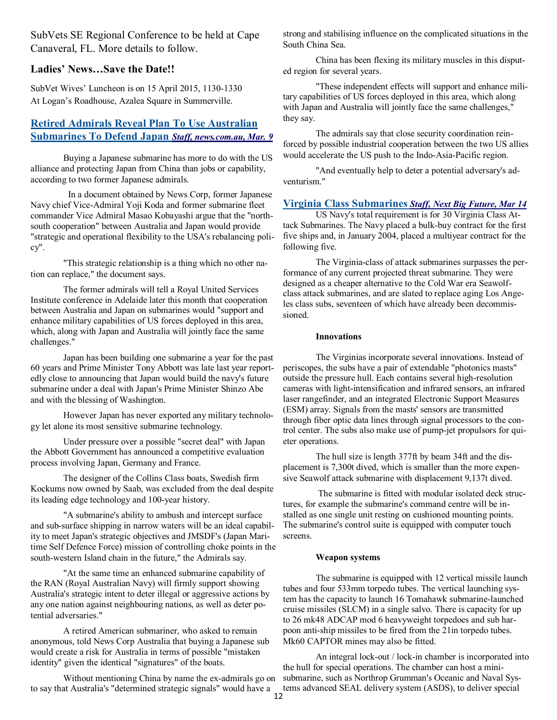SubVets SE Regional Conference to be held at Cape Canaveral, FL. More details to follow.

### **Ladies' News…Save the Date!!**

SubVet Wives' Luncheon is on 15 April 2015, 1130-1330 At Logan's Roadhouse, Azalea Square in Summerville.

# **Retired Admirals Reveal Plan To Use Australian Submarines To Defend Japan** *Staff, news.com.au, Mar. 9*

Buying a Japanese submarine has more to do with the US alliance and protecting Japan from China than jobs or capability, according to two former Japanese admirals.

 In a document obtained by News Corp, former Japanese Navy chief Vice-Admiral Yoji Koda and former submarine fleet commander Vice Admiral Masao Kobayashi argue that the "northsouth cooperation" between Australia and Japan would provide "strategic and operational flexibility to the USA's rebalancing policy".

"This strategic relationship is a thing which no other nation can replace," the document says.

The former admirals will tell a Royal United Services Institute conference in Adelaide later this month that cooperation between Australia and Japan on submarines would "support and enhance military capabilities of US forces deployed in this area, which, along with Japan and Australia will jointly face the same challenges."

Japan has been building one submarine a year for the past 60 years and Prime Minister Tony Abbott was late last year reportedly close to announcing that Japan would build the navy's future submarine under a deal with Japan's Prime Minister Shinzo Abe and with the blessing of Washington.

However Japan has never exported any military technology let alone its most sensitive submarine technology.

Under pressure over a possible "secret deal" with Japan the Abbott Government has announced a competitive evaluation process involving Japan, Germany and France.

The designer of the Collins Class boats, Swedish firm Kockums now owned by Saab, was excluded from the deal despite its leading edge technology and 100-year history.

"A submarine's ability to ambush and intercept surface and sub-surface shipping in narrow waters will be an ideal capability to meet Japan's strategic objectives and JMSDF's (Japan Maritime Self Defence Force) mission of controlling choke points in the south-western Island chain in the future," the Admirals say.

"At the same time an enhanced submarine capability of the RAN (Royal Australian Navy) will firmly support showing Australia's strategic intent to deter illegal or aggressive actions by any one nation against neighbouring nations, as well as deter potential adversaries."

A retired American submariner, who asked to remain anonymous, told News Corp Australia that buying a Japanese sub would create a risk for Australia in terms of possible "mistaken identity" given the identical "signatures" of the boats.

Without mentioning China by name the ex-admirals go on to say that Australia's "determined strategic signals" would have a

strong and stabilising influence on the complicated situations in the South China Sea.

China has been flexing its military muscles in this disputed region for several years.

"These independent effects will support and enhance military capabilities of US forces deployed in this area, which along with Japan and Australia will jointly face the same challenges," they say.

The admirals say that close security coordination reinforced by possible industrial cooperation between the two US allies would accelerate the US push to the Indo-Asia-Pacific region.

"And eventually help to deter a potential adversary's adventurism."

#### **Virginia Class Submarines** *Staff, Next Big Future, Mar 14*

US Navy's total requirement is for 30 Virginia Class Attack Submarines. The Navy placed a bulk-buy contract for the first five ships and, in January 2004, placed a multiyear contract for the following five.

The Virginia-class of attack submarines surpasses the performance of any current projected threat submarine. They were designed as a cheaper alternative to the Cold War era Seawolfclass attack submarines, and are slated to replace aging Los Angeles class subs, seventeen of which have already been decommissioned.

#### **Innovations**

The Virginias incorporate several innovations. Instead of periscopes, the subs have a pair of extendable "photonics masts" outside the pressure hull. Each contains several high-resolution cameras with light-intensification and infrared sensors, an infrared laser rangefinder, and an integrated Electronic Support Measures (ESM) array. Signals from the masts' sensors are transmitted through fiber optic data lines through signal processors to the control center. The subs also make use of pump-jet propulsors for quieter operations.

The hull size is length 377ft by beam 34ft and the displacement is 7,300t dived, which is smaller than the more expensive Seawolf attack submarine with displacement 9,137t dived.

The submarine is fitted with modular isolated deck structures, for example the submarine's command centre will be installed as one single unit resting on cushioned mounting points. The submarine's control suite is equipped with computer touch screens.

#### **Weapon systems**

The submarine is equipped with 12 vertical missile launch tubes and four 533mm torpedo tubes. The vertical launching system has the capacity to launch 16 Tomahawk submarine-launched cruise missiles (SLCM) in a single salvo. There is capacity for up to 26 mk48 ADCAP mod 6 heavyweight torpedoes and sub harpoon anti-ship missiles to be fired from the 21in torpedo tubes. Mk60 CAPTOR mines may also be fitted.

An integral lock-out / lock-in chamber is incorporated into the hull for special operations. The chamber can host a minisubmarine, such as Northrop Grumman's Oceanic and Naval Systems advanced SEAL delivery system (ASDS), to deliver special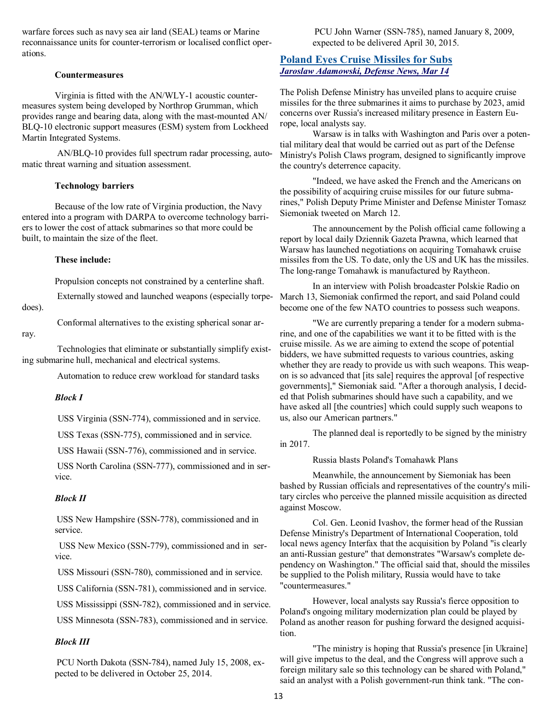warfare forces such as navy sea air land (SEAL) teams or Marine reconnaissance units for counter-terrorism or localised conflict operations.

#### **Countermeasures**

Virginia is fitted with the AN/WLY-1 acoustic countermeasures system being developed by Northrop Grumman, which provides range and bearing data, along with the mast-mounted AN/ BLQ-10 electronic support measures (ESM) system from Lockheed Martin Integrated Systems.

AN/BLQ-10 provides full spectrum radar processing, automatic threat warning and situation assessment.

#### **Technology barriers**

Because of the low rate of Virginia production, the Navy entered into a program with DARPA to overcome technology barriers to lower the cost of attack submarines so that more could be built, to maintain the size of the fleet.

#### **These include:**

Propulsion concepts not constrained by a centerline shaft.

Externally stowed and launched weapons (especially torpedoes).

Conformal alternatives to the existing spherical sonar ar-

ray.

Technologies that eliminate or substantially simplify existing submarine hull, mechanical and electrical systems.

Automation to reduce crew workload for standard tasks

#### *Block I*

USS Virginia (SSN-774), commissioned and in service.

USS Texas (SSN-775), commissioned and in service.

USS Hawaii (SSN-776), commissioned and in service.

USS North Carolina (SSN-777), commissioned and in service.

#### *Block II*

USS New Hampshire (SSN-778), commissioned and in service.

USS New Mexico (SSN-779), commissioned and in service.

USS Missouri (SSN-780), commissioned and in service.

USS California (SSN-781), commissioned and in service.

USS Mississippi (SSN-782), commissioned and in service.

USS Minnesota (SSN-783), commissioned and in service.

#### *Block III*

PCU North Dakota (SSN-784), named July 15, 2008, expected to be delivered in October 25, 2014.

PCU John Warner (SSN-785), named January 8, 2009, expected to be delivered April 30, 2015.

### **Poland Eyes Cruise Missiles for Subs** *Jaroslaw Adamowski, Defense News, Mar 14*

The Polish Defense Ministry has unveiled plans to acquire cruise missiles for the three submarines it aims to purchase by 2023, amid concerns over Russia's increased military presence in Eastern Europe, local analysts say.

Warsaw is in talks with Washington and Paris over a potential military deal that would be carried out as part of the Defense Ministry's Polish Claws program, designed to significantly improve the country's deterrence capacity.

"Indeed, we have asked the French and the Americans on the possibility of acquiring cruise missiles for our future submarines," Polish Deputy Prime Minister and Defense Minister Tomasz Siemoniak tweeted on March 12.

The announcement by the Polish official came following a report by local daily Dziennik Gazeta Prawna, which learned that Warsaw has launched negotiations on acquiring Tomahawk cruise missiles from the US. To date, only the US and UK has the missiles. The long-range Tomahawk is manufactured by Raytheon.

In an interview with Polish broadcaster Polskie Radio on March 13, Siemoniak confirmed the report, and said Poland could become one of the few NATO countries to possess such weapons.

"We are currently preparing a tender for a modern submarine, and one of the capabilities we want it to be fitted with is the cruise missile. As we are aiming to extend the scope of potential bidders, we have submitted requests to various countries, asking whether they are ready to provide us with such weapons. This weapon is so advanced that [its sale] requires the approval [of respective governments]," Siemoniak said. "After a thorough analysis, I decided that Polish submarines should have such a capability, and we have asked all [the countries] which could supply such weapons to us, also our American partners."

The planned deal is reportedly to be signed by the ministry in 2017.

Russia blasts Poland's Tomahawk Plans

Meanwhile, the announcement by Siemoniak has been bashed by Russian officials and representatives of the country's military circles who perceive the planned missile acquisition as directed against Moscow.

Col. Gen. Leonid Ivashov, the former head of the Russian Defense Ministry's Department of International Cooperation, told local news agency Interfax that the acquisition by Poland "is clearly an anti-Russian gesture" that demonstrates "Warsaw's complete dependency on Washington." The official said that, should the missiles be supplied to the Polish military, Russia would have to take "countermeasures."

However, local analysts say Russia's fierce opposition to Poland's ongoing military modernization plan could be played by Poland as another reason for pushing forward the designed acquisition.

"The ministry is hoping that Russia's presence [in Ukraine] will give impetus to the deal, and the Congress will approve such a foreign military sale so this technology can be shared with Poland," said an analyst with a Polish government-run think tank. "The con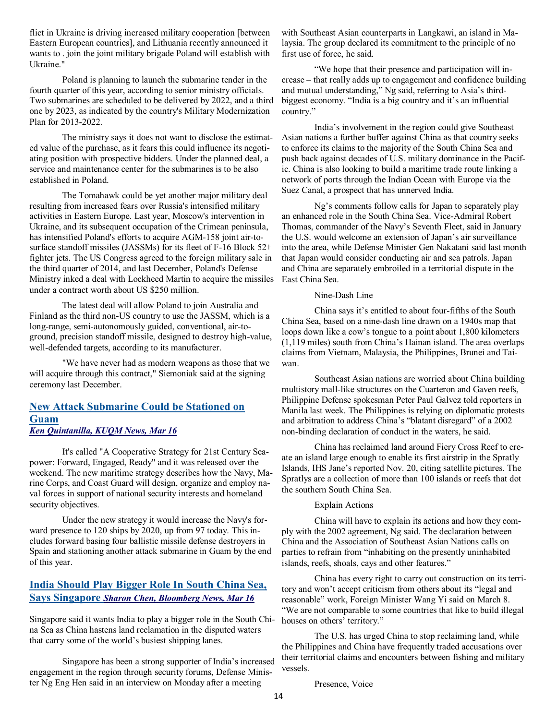flict in Ukraine is driving increased military cooperation [between Eastern European countries], and Lithuania recently announced it wants to . join the joint military brigade Poland will establish with Ukraine."

Poland is planning to launch the submarine tender in the fourth quarter of this year, according to senior ministry officials. Two submarines are scheduled to be delivered by 2022, and a third one by 2023, as indicated by the country's Military Modernization Plan for 2013-2022.

The ministry says it does not want to disclose the estimated value of the purchase, as it fears this could influence its negotiating position with prospective bidders. Under the planned deal, a service and maintenance center for the submarines is to be also established in Poland.

The Tomahawk could be yet another major military deal resulting from increased fears over Russia's intensified military activities in Eastern Europe. Last year, Moscow's intervention in Ukraine, and its subsequent occupation of the Crimean peninsula, has intensified Poland's efforts to acquire AGM-158 joint air-tosurface standoff missiles (JASSMs) for its fleet of F-16 Block 52+ fighter jets. The US Congress agreed to the foreign military sale in the third quarter of 2014, and last December, Poland's Defense Ministry inked a deal with Lockheed Martin to acquire the missiles under a contract worth about US \$250 million.

The latest deal will allow Poland to join Australia and Finland as the third non-US country to use the JASSM, which is a long-range, semi-autonomously guided, conventional, air-toground, precision standoff missile, designed to destroy high-value, well-defended targets, according to its manufacturer.

"We have never had as modern weapons as those that we will acquire through this contract," Siemoniak said at the signing ceremony last December.

### **New Attack Submarine Could be Stationed on Guam** *Ken Quintanilla, KUQM News, Mar 16*

It's called "A Cooperative Strategy for 21st Century Seapower: Forward, Engaged, Ready" and it was released over the weekend. The new maritime strategy describes how the Navy, Marine Corps, and Coast Guard will design, organize and employ naval forces in support of national security interests and homeland security objectives.

Under the new strategy it would increase the Navy's forward presence to 120 ships by 2020, up from 97 today. This includes forward basing four ballistic missile defense destroyers in Spain and stationing another attack submarine in Guam by the end of this year.

# **India Should Play Bigger Role In South China Sea, Says Singapore** *Sharon Chen, Bloomberg News, Mar 16*

Singapore said it wants India to play a bigger role in the South China Sea as China hastens land reclamation in the disputed waters that carry some of the world's busiest shipping lanes.

Singapore has been a strong supporter of India's increased engagement in the region through security forums, Defense Minister Ng Eng Hen said in an interview on Monday after a meeting

with Southeast Asian counterparts in Langkawi, an island in Malaysia. The group declared its commitment to the principle of no first use of force, he said.

―We hope that their presence and participation will increase – that really adds up to engagement and confidence building and mutual understanding," Ng said, referring to Asia's thirdbiggest economy. "India is a big country and it's an influential country."

India's involvement in the region could give Southeast Asian nations a further buffer against China as that country seeks to enforce its claims to the majority of the South China Sea and push back against decades of U.S. military dominance in the Pacific. China is also looking to build a maritime trade route linking a network of ports through the Indian Ocean with Europe via the Suez Canal, a prospect that has unnerved India.

Ng's comments follow calls for Japan to separately play an enhanced role in the South China Sea. Vice-Admiral Robert Thomas, commander of the Navy's Seventh Fleet, said in January the U.S. would welcome an extension of Japan's air surveillance into the area, while Defense Minister Gen Nakatani said last month that Japan would consider conducting air and sea patrols. Japan and China are separately embroiled in a territorial dispute in the East China Sea.

#### Nine-Dash Line

China says it's entitled to about four-fifths of the South China Sea, based on a nine-dash line drawn on a 1940s map that loops down like a cow's tongue to a point about 1,800 kilometers (1,119 miles) south from China's Hainan island. The area overlaps claims from Vietnam, Malaysia, the Philippines, Brunei and Taiwan.

Southeast Asian nations are worried about China building multistory mall-like structures on the Cuarteron and Gaven reefs, Philippine Defense spokesman Peter Paul Galvez told reporters in Manila last week. The Philippines is relying on diplomatic protests and arbitration to address China's "blatant disregard" of a 2002 non-binding declaration of conduct in the waters, he said.

China has reclaimed land around Fiery Cross Reef to create an island large enough to enable its first airstrip in the Spratly Islands, IHS Jane's reported Nov. 20, citing satellite pictures. The Spratlys are a collection of more than 100 islands or reefs that dot the southern South China Sea.

#### Explain Actions

China will have to explain its actions and how they comply with the 2002 agreement, Ng said. The declaration between China and the Association of Southeast Asian Nations calls on parties to refrain from "inhabiting on the presently uninhabited islands, reefs, shoals, cays and other features."

China has every right to carry out construction on its territory and won't accept criticism from others about its "legal and reasonable" work, Foreign Minister Wang Yi said on March 8. ―We are not comparable to some countries that like to build illegal houses on others' territory."

The U.S. has urged China to stop reclaiming land, while the Philippines and China have frequently traded accusations over their territorial claims and encounters between fishing and military vessels.

Presence, Voice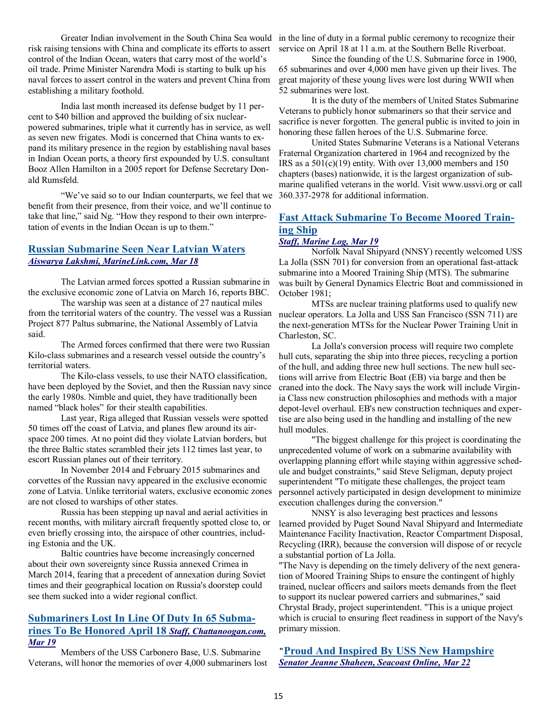risk raising tensions with China and complicate its efforts to assert control of the Indian Ocean, waters that carry most of the world's oil trade. Prime Minister Narendra Modi is starting to bulk up his naval forces to assert control in the waters and prevent China from establishing a military foothold.

India last month increased its defense budget by 11 percent to \$40 billion and approved the building of six nuclearpowered submarines, triple what it currently has in service, as well as seven new frigates. Modi is concerned that China wants to expand its military presence in the region by establishing naval bases in Indian Ocean ports, a theory first expounded by U.S. consultant Booz Allen Hamilton in a 2005 report for Defense Secretary Donald Rumsfeld.

―We've said so to our Indian counterparts, we feel that we benefit from their presence, from their voice, and we'll continue to take that line," said Ng. "How they respond to their own interpretation of events in the Indian Ocean is up to them."

### **Russian Submarine Seen Near Latvian Waters**  *Aiswarya Lakshmi, MarineLink.com, Mar 18*

The Latvian armed forces spotted a Russian submarine in the exclusive economic zone of Latvia on March 16, reports BBC.

The warship was seen at a distance of 27 nautical miles from the territorial waters of the country. The vessel was a Russian Project 877 Paltus submarine, the National Assembly of Latvia said.

The Armed forces confirmed that there were two Russian Kilo-class submarines and a research vessel outside the country's territorial waters.

The Kilo-class vessels, to use their NATO classification, have been deployed by the Soviet, and then the Russian navy since the early 1980s. Nimble and quiet, they have traditionally been named "black holes" for their stealth capabilities.

Last year, Riga alleged that Russian vessels were spotted 50 times off the coast of Latvia, and planes flew around its airspace 200 times. At no point did they violate Latvian borders, but the three Baltic states scrambled their jets 112 times last year, to escort Russian planes out of their territory.

In November 2014 and February 2015 submarines and corvettes of the Russian navy appeared in the exclusive economic zone of Latvia. Unlike territorial waters, exclusive economic zones are not closed to warships of other states.

Russia has been stepping up naval and aerial activities in recent months, with military aircraft frequently spotted close to, or even briefly crossing into, the airspace of other countries, including Estonia and the UK.

Baltic countries have become increasingly concerned about their own sovereignty since Russia annexed Crimea in March 2014, fearing that a precedent of annexation during Soviet times and their geographical location on Russia's doorstep could see them sucked into a wider regional conflict.

# **Submariners Lost In Line Of Duty In 65 Submarines To Be Honored April 18** *Staff, Chattanoogan.com, Mar 19*

Members of the USS Carbonero Base, U.S. Submarine Veterans, will honor the memories of over 4,000 submariners lost

Greater Indian involvement in the South China Sea would in the line of duty in a formal public ceremony to recognize their service on April 18 at 11 a.m. at the Southern Belle Riverboat.

> Since the founding of the U.S. Submarine force in 1900, 65 submarines and over 4,000 men have given up their lives. The great majority of these young lives were lost during WWII when 52 submarines were lost.

It is the duty of the members of United States Submarine Veterans to publicly honor submariners so that their service and sacrifice is never forgotten. The general public is invited to join in honoring these fallen heroes of the U.S. Submarine force.

United States Submarine Veterans is a National Veterans Fraternal Organization chartered in 1964 and recognized by the IRS as a 501(c)(19) entity. With over 13,000 members and 150 chapters (bases) nationwide, it is the largest organization of submarine qualified veterans in the world. Visit www.ussvi.org or call 360.337-2978 for additional information.

# **Fast Attack Submarine To Become Moored Training Ship**

### *Staff, Marine Log, Mar 19*

Norfolk Naval Shipyard (NNSY) recently welcomed USS La Jolla (SSN 701) for conversion from an operational fast-attack submarine into a Moored Training Ship (MTS). The submarine was built by General Dynamics Electric Boat and commissioned in October 1981;

MTSs are nuclear training platforms used to qualify new nuclear operators. La Jolla and USS San Francisco (SSN 711) are the next-generation MTSs for the Nuclear Power Training Unit in Charleston, SC.

La Jolla's conversion process will require two complete hull cuts, separating the ship into three pieces, recycling a portion of the hull, and adding three new hull sections. The new hull sections will arrive from Electric Boat (EB) via barge and then be craned into the dock. The Navy says the work will include Virginia Class new construction philosophies and methods with a major depot-level overhaul. EB's new construction techniques and expertise are also being used in the handling and installing of the new hull modules.

"The biggest challenge for this project is coordinating the unprecedented volume of work on a submarine availability with overlapping planning effort while staying within aggressive schedule and budget constraints," said Steve Seligman, deputy project superintendent "To mitigate these challenges, the project team personnel actively participated in design development to minimize execution challenges during the conversion."

NNSY is also leveraging best practices and lessons learned provided by Puget Sound Naval Shipyard and Intermediate Maintenance Facility Inactivation, Reactor Compartment Disposal, Recycling (IRR), because the conversion will dispose of or recycle a substantial portion of La Jolla.

"The Navy is depending on the timely delivery of the next generation of Moored Training Ships to ensure the contingent of highly trained, nuclear officers and sailors meets demands from the fleet to support its nuclear powered carriers and submarines," said Chrystal Brady, project superintendent. "This is a unique project which is crucial to ensuring fleet readiness in support of the Navy's primary mission.

"**Proud And Inspired By USS New Hampshire** *Senator Jeanne Shaheen, Seacoast Online, Mar 22*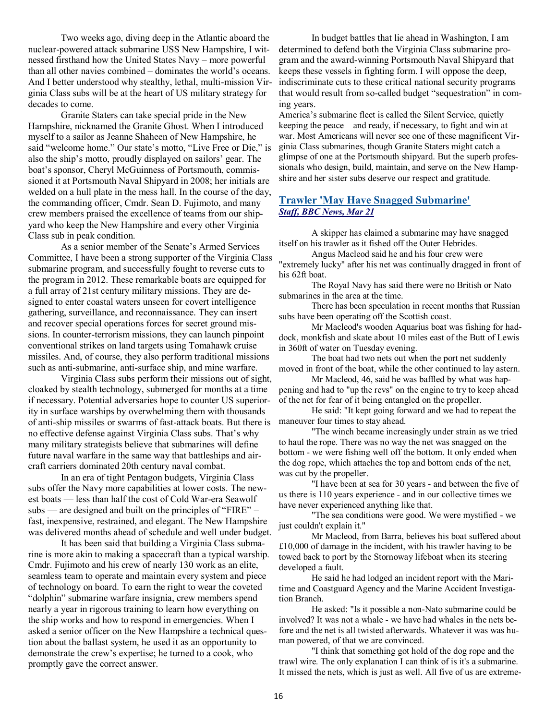Two weeks ago, diving deep in the Atlantic aboard the nuclear-powered attack submarine USS New Hampshire, I witnessed firsthand how the United States Navy – more powerful than all other navies combined – dominates the world's oceans. And I better understood why stealthy, lethal, multi-mission Virginia Class subs will be at the heart of US military strategy for decades to come.

Granite Staters can take special pride in the New Hampshire, nicknamed the Granite Ghost. When I introduced myself to a sailor as Jeanne Shaheen of New Hampshire, he said "welcome home." Our state's motto, "Live Free or Die," is also the ship's motto, proudly displayed on sailors' gear. The boat's sponsor, Cheryl McGuinness of Portsmouth, commissioned it at Portsmouth Naval Shipyard in 2008; her initials are welded on a hull plate in the mess hall. In the course of the day, the commanding officer, Cmdr. Sean D. Fujimoto, and many crew members praised the excellence of teams from our shipyard who keep the New Hampshire and every other Virginia Class sub in peak condition.

As a senior member of the Senate's Armed Services Committee, I have been a strong supporter of the Virginia Class submarine program, and successfully fought to reverse cuts to the program in 2012. These remarkable boats are equipped for a full array of 21st century military missions. They are designed to enter coastal waters unseen for covert intelligence gathering, surveillance, and reconnaissance. They can insert and recover special operations forces for secret ground missions. In counter-terrorism missions, they can launch pinpoint conventional strikes on land targets using Tomahawk cruise missiles. And, of course, they also perform traditional missions such as anti-submarine, anti-surface ship, and mine warfare.

Virginia Class subs perform their missions out of sight, cloaked by stealth technology, submerged for months at a time if necessary. Potential adversaries hope to counter US superiority in surface warships by overwhelming them with thousands of anti-ship missiles or swarms of fast-attack boats. But there is no effective defense against Virginia Class subs. That's why many military strategists believe that submarines will define future naval warfare in the same way that battleships and aircraft carriers dominated 20th century naval combat.

In an era of tight Pentagon budgets, Virginia Class subs offer the Navy more capabilities at lower costs. The newest boats — less than half the cost of Cold War-era Seawolf subs — are designed and built on the principles of "FIRE"  $$ fast, inexpensive, restrained, and elegant. The New Hampshire was delivered months ahead of schedule and well under budget.

It has been said that building a Virginia Class submarine is more akin to making a spacecraft than a typical warship. Cmdr. Fujimoto and his crew of nearly 130 work as an elite, seamless team to operate and maintain every system and piece of technology on board. To earn the right to wear the coveted "dolphin" submarine warfare insignia, crew members spend nearly a year in rigorous training to learn how everything on the ship works and how to respond in emergencies. When I asked a senior officer on the New Hampshire a technical question about the ballast system, he used it as an opportunity to demonstrate the crew's expertise; he turned to a cook, who promptly gave the correct answer.

In budget battles that lie ahead in Washington, I am determined to defend both the Virginia Class submarine program and the award-winning Portsmouth Naval Shipyard that keeps these vessels in fighting form. I will oppose the deep, indiscriminate cuts to these critical national security programs that would result from so-called budget "sequestration" in coming years.

America's submarine fleet is called the Silent Service, quietly keeping the peace – and ready, if necessary, to fight and win at war. Most Americans will never see one of these magnificent Virginia Class submarines, though Granite Staters might catch a glimpse of one at the Portsmouth shipyard. But the superb professionals who design, build, maintain, and serve on the New Hampshire and her sister subs deserve our respect and gratitude.

## **Trawler 'May Have Snagged Submarine'** *Staff, BBC News, Mar 21*

A skipper has claimed a submarine may have snagged itself on his trawler as it fished off the Outer Hebrides.

Angus Macleod said he and his four crew were "extremely lucky" after his net was continually dragged in front of his 62ft boat.

The Royal Navy has said there were no British or Nato submarines in the area at the time.

There has been speculation in recent months that Russian subs have been operating off the Scottish coast.

Mr Macleod's wooden Aquarius boat was fishing for haddock, monkfish and skate about 10 miles east of the Butt of Lewis in 360ft of water on Tuesday evening.

The boat had two nets out when the port net suddenly moved in front of the boat, while the other continued to lay astern.

Mr Macleod, 46, said he was baffled by what was happening and had to "up the revs" on the engine to try to keep ahead of the net for fear of it being entangled on the propeller.

He said: "It kept going forward and we had to repeat the maneuver four times to stay ahead.

"The winch became increasingly under strain as we tried to haul the rope. There was no way the net was snagged on the bottom - we were fishing well off the bottom. It only ended when the dog rope, which attaches the top and bottom ends of the net, was cut by the propeller.

"I have been at sea for 30 years - and between the five of us there is 110 years experience - and in our collective times we have never experienced anything like that.

"The sea conditions were good. We were mystified - we just couldn't explain it."

Mr Macleod, from Barra, believes his boat suffered about £10,000 of damage in the incident, with his trawler having to be towed back to port by the Stornoway lifeboat when its steering developed a fault.

He said he had lodged an incident report with the Maritime and Coastguard Agency and the Marine Accident Investigation Branch.

He asked: "Is it possible a non-Nato submarine could be involved? It was not a whale - we have had whales in the nets before and the net is all twisted afterwards. Whatever it was was human powered, of that we are convinced.

"I think that something got hold of the dog rope and the trawl wire. The only explanation I can think of is it's a submarine. It missed the nets, which is just as well. All five of us are extreme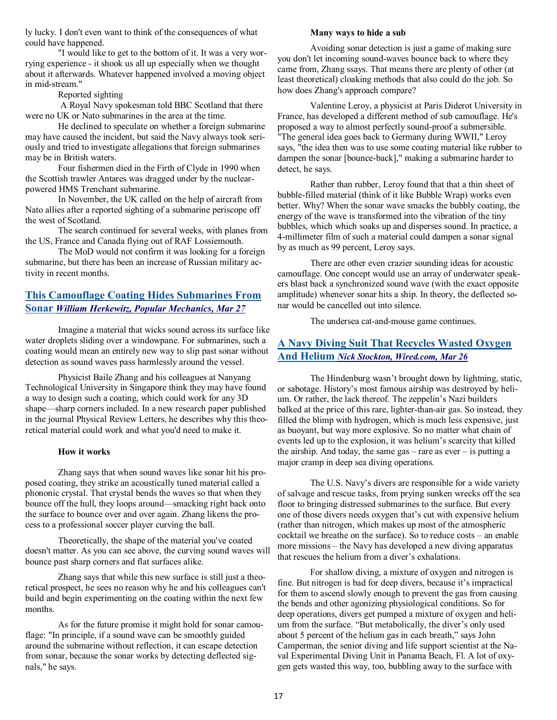ly lucky. I don't even want to think of the consequences of what could have happened.

"I would like to get to the bottom of it. It was a very worrying experience - it shook us all up especially when we thought about it afterwards. Whatever happened involved a moving object in mid-stream."

#### Reported sighting

A Royal Navy spokesman told BBC Scotland that there were no UK or Nato submarines in the area at the time.

He declined to speculate on whether a foreign submarine may have caused the incident, but said the Navy always took seriously and tried to investigate allegations that foreign submarines may be in British waters.

Four fishermen died in the Firth of Clyde in 1990 when the Scottish trawler Antares was dragged under by the nuclearpowered HMS Trenchant submarine.

In November, the UK called on the help of aircraft from Nato allies after a reported sighting of a submarine periscope off the west of Scotland.

The search continued for several weeks, with planes from the US, France and Canada flying out of RAF Lossiemouth.

The MoD would not confirm it was looking for a foreign submarine, but there has been an increase of Russian military activity in recent months.

# **This Camouflage Coating Hides Submarines From Sonar** *William Herkewitz, Popular Mechanics, Mar 27*

Imagine a material that wicks sound across its surface like water droplets sliding over a windowpane. For submarines, such a coating would mean an entirely new way to slip past sonar without detection as sound waves pass harmlessly around the vessel.

Physicist Baile Zhang and his colleagues at Nanyang Technological University in Singapore think they may have found a way to design such a coating, which could work for any 3D shape—sharp corners included. In a new research paper published in the journal Physical Review Letters, he describes why this theoretical material could work and what you'd need to make it.

#### **How it works**

Zhang says that when sound waves like sonar hit his proposed coating, they strike an acoustically tuned material called a phononic crystal. That crystal bends the waves so that when they bounce off the hull, they loops around—smacking right back onto the surface to bounce over and over again. Zhang likens the process to a professional soccer player curving the ball.

Theoretically, the shape of the material you've coated doesn't matter. As you can see above, the curving sound waves will bounce past sharp corners and flat surfaces alike.

Zhang says that while this new surface is still just a theoretical prospect, he sees no reason why he and his colleagues can't build and begin experimenting on the coating within the next few months.

As for the future promise it might hold for sonar camouflage: "In principle, if a sound wave can be smoothly guided around the submarine without reflection, it can escape detection from sonar, because the sonar works by detecting deflected signals," he says.

#### **Many ways to hide a sub**

Avoiding sonar detection is just a game of making sure you don't let incoming sound-waves bounce back to where they came from, Zhang ssays. That means there are plenty of other (at least theoretical) cloaking methods that also could do the job. So how does Zhang's approach compare?

Valentine Leroy, a physicist at Paris Diderot University in France, has developed a different method of sub camouflage. He's proposed a way to almost perfectly sound-proof a submersible. "The general idea goes back to Germany during WWII," Leroy says, "the idea then was to use some coating material like rubber to dampen the sonar [bounce-back]," making a submarine harder to detect, he says.

Rather than rubber, Leroy found that that a thin sheet of bubble-filled material (think of it like Bubble Wrap) works even better. Why? When the sonar wave smacks the bubbly coating, the energy of the wave is transformed into the vibration of the tiny bubbles, which which soaks up and disperses sound. In practice, a 4-millimeter film of such a material could dampen a sonar signal by as much as 99 percent, Leroy says.

There are other even crazier sounding ideas for acoustic camouflage. One concept would use an array of underwater speakers blast back a synchronized sound wave (with the exact opposite amplitude) whenever sonar hits a ship. In theory, the deflected sonar would be cancelled out into silence.

The undersea cat-and-mouse game continues.

# **A Navy Diving Suit That Recycles Wasted Oxygen And Helium** *Nick Stockton, Wired.com, Mar 26*

The Hindenburg wasn't brought down by lightning, static, or sabotage. History's most famous airship was destroyed by helium. Or rather, the lack thereof. The zeppelin's Nazi builders balked at the price of this rare, lighter-than-air gas. So instead, they filled the blimp with hydrogen, which is much less expensive, just as buoyant, but way more explosive. So no matter what chain of events led up to the explosion, it was helium's scarcity that killed the airship. And today, the same gas – rare as ever – is putting a major cramp in deep sea diving operations.

The U.S. Navy's divers are responsible for a wide variety of salvage and rescue tasks, from prying sunken wrecks off the sea floor to bringing distressed submarines to the surface. But every one of those divers needs oxygen that's cut with expensive helium (rather than nitrogen, which makes up most of the atmospheric cocktail we breathe on the surface). So to reduce costs – an enable more missions – the Navy has developed a new diving apparatus that rescues the helium from a diver's exhalations.

For shallow diving, a mixture of oxygen and nitrogen is fine. But nitrogen is bad for deep divers, because it's impractical for them to ascend slowly enough to prevent the gas from causing the bends and other agonizing physiological conditions. So for deep operations, divers get pumped a mixture of oxygen and helium from the surface. "But metabolically, the diver's only used about 5 percent of the helium gas in each breath," says John Camperman, the senior diving and life support scientist at the Naval Experimental Diving Unit in Panama Beach, Fl. A lot of oxygen gets wasted this way, too, bubbling away to the surface with